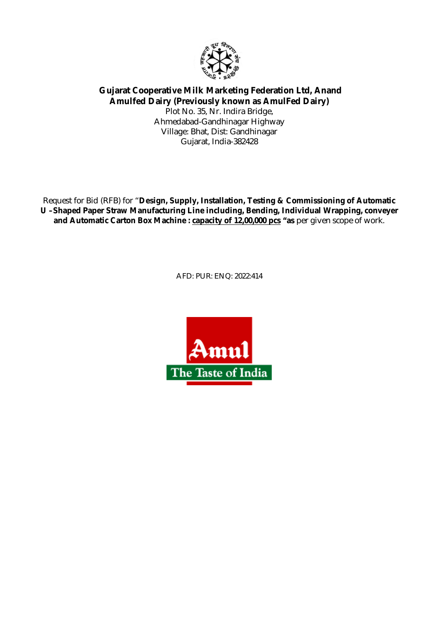

# **Gujarat Cooperative Milk Marketing Federation Ltd, Anand Amulfed Dairy (Previously known as AmulFed Dairy)** Plot No. 35, Nr. Indira Bridge, Ahmedabad-Gandhinagar Highway Village: Bhat, Dist: Gandhinagar Gujarat, India-382428

Request for Bid (RFB) for "**Design, Supply, Installation, Testing & Commissioning of Automatic U –Shaped Paper Straw Manufacturing Line including, Bending, Individual Wrapping, conveyer and Automatic Carton Box Machine : capacity of 12,00,000 pcs "as** per given scope of work.

AFD: PUR: ENQ: 2022:414

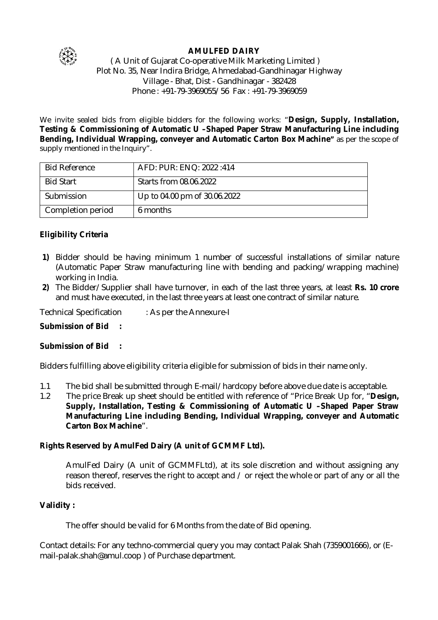

## **AMULFED DAIRY**

# ( A Unit of Gujarat Co-operative Milk Marketing Limited ) Plot No. 35, Near Indira Bridge, Ahmedabad-Gandhinagar Highway Village - Bhat, Dist - Gandhinagar - 382428 Phone : +91-79-3969055/56 Fax : +91-79-3969059

We invite sealed bids from eligible bidders for the following works: "**Design, Supply, Installation, Testing & Commissioning of Automatic U –Shaped Paper Straw Manufacturing Line including Bending, Individual Wrapping, conveyer and Automatic Carton Box Machine"** as per the scope of supply mentioned in the Inquiry".

| <b>Bid Reference</b> | AFD: PUR: FNO: 2022 :414     |
|----------------------|------------------------------|
| <b>Bid Start</b>     | Starts from 08.06.2022       |
| Submission           | Up to 04.00 pm of 30.06.2022 |
| Completion period    | 6 months                     |

# **Eligibility Criteria**

- **1)** Bidder should be having minimum 1 number of successful installations of similar nature (Automatic Paper Straw manufacturing line with bending and packing/wrapping machine) working in India.
- **2)** The Bidder/Supplier shall have turnover, in each of the last three years, at least **Rs. 10 crore** and must have executed, in the last three years at least one contract of similar nature.

Technical Specification : As per the Annexure-I

#### **Submission of Bid :**

#### **Submission of Bid :**

Bidders fulfilling above eligibility criteria eligible for submission of bids in their name only.

- 1.1 The bid shall be submitted through E-mail/hardcopy before above due date is acceptable.<br>1.2 The price Break up sheet should be entitled with reference of "Price Break Up for. "Design
- 1.2 The price Break up sheet should be entitled with reference of "Price Break Up for, "**Design, Supply, Installation, Testing & Commissioning of Automatic U –Shaped Paper Straw Manufacturing Line including Bending, Individual Wrapping, conveyer and Automatic Carton Box Machine**".

#### **Rights Reserved by AmulFed Dairy (A unit of GCMMF Ltd).**

AmulFed Dairy (A unit of GCMMFLtd), at its sole discretion and without assigning any reason thereof, reserves the right to accept and / or reject the whole or part of any or all the bids received.

#### **Validity :**

The offer should be valid for 6 Months from the date of Bid opening.

Contact details: For any techno-commercial query you may contact Palak Shah (7359001666), or (Email-palak.shah@amul.coop ) of Purchase department.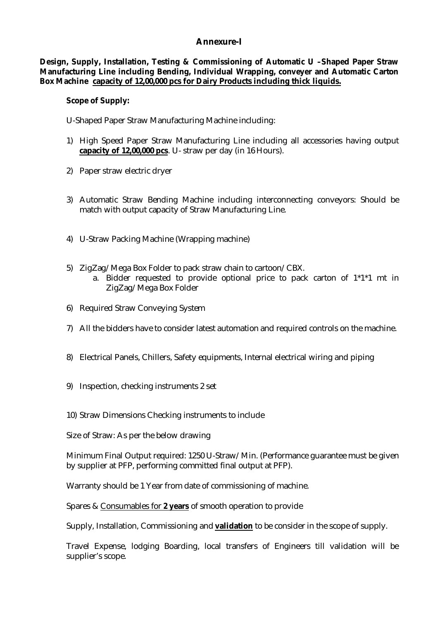# **Annexure-I**

**Design, Supply, Installation, Testing & Commissioning of Automatic U –Shaped Paper Straw Manufacturing Line including Bending, Individual Wrapping, conveyer and Automatic Carton Box Machine capacity of 12,00,000 pcs for Dairy Products including thick liquids.**

#### **Scope of Supply:**

U-Shaped Paper Straw Manufacturing Machine including:

- 1) High Speed Paper Straw Manufacturing Line including all accessories having output **capacity of 12,00,000 pcs**. U- straw per day (in 16 Hours).
- 2) Paper straw electric dryer
- 3) Automatic Straw Bending Machine including interconnecting conveyors: Should be match with output capacity of Straw Manufacturing Line.
- 4) U-Straw Packing Machine (Wrapping machine)
- 5) ZigZag/Mega Box Folder to pack straw chain to cartoon/CBX.
	- a. Bidder requested to provide optional price to pack carton of 1\*1\*1 mt in ZigZag/Mega Box Folder
- 6) Required Straw Conveying System
- 7) All the bidders have to consider latest automation and required controls on the machine.
- 8) Electrical Panels, Chillers, Safety equipments, Internal electrical wiring and piping
- 9) Inspection, checking instruments 2 set
- 10) Straw Dimensions Checking instruments to include

Size of Straw: As per the below drawing

Minimum Final Output required: 1250 U-Straw/Min. (Performance guarantee must be given by supplier at PFP, performing committed final output at PFP).

Warranty should be 1 Year from date of commissioning of machine.

Spares & Consumables for **2 years** of smooth operation to provide

Supply, Installation, Commissioning and **validation** to be consider in the scope of supply.

Travel Expense, lodging Boarding, local transfers of Engineers till validation will be supplier's scope.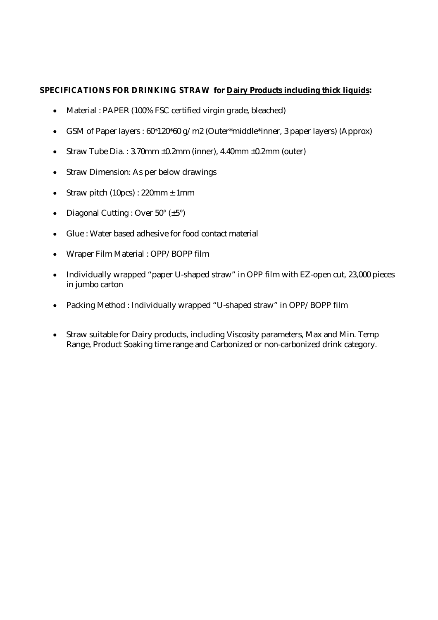# **SPECIFICATIONS FOR DRINKING STRAW for Dairy Products including thick liquids:**

- Material : PAPER (100% FSC certified virgin grade, bleached)
- GSM of Paper layers : 60\*120\*60 g/m2 (Outer\*middle\*inner, 3 paper layers) (Approx)
- Straw Tube Dia.:  $3.70$ mm  $\pm 0.2$ mm (inner),  $4.40$ mm  $\pm 0.2$ mm (outer)
- Straw Dimension: As per below drawings
- Straw pitch (10pcs) : 220mm  $\pm$  1mm
- Diagonal Cutting : Over  $50^{\circ}$  ( $\pm 5^{\circ}$ )
- Glue : Water based adhesive for food contact material
- Wraper Film Material : OPP/BOPP film
- Individually wrapped "paper U-shaped straw" in OPP film with EZ-open cut, 23,000 pieces in jumbo carton
- Packing Method : Individually wrapped "U-shaped straw" in OPP/BOPP film
- Straw suitable for Dairy products, including Viscosity parameters, Max and Min. Temp Range, Product Soaking time range and Carbonized or non-carbonized drink category.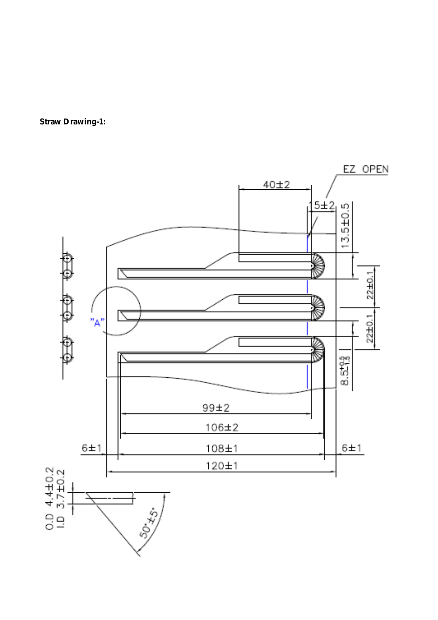**Straw Drawing-1:**

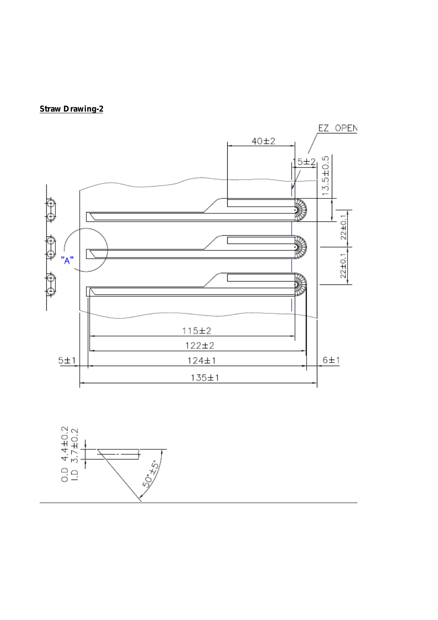# **Straw Drawing-2**



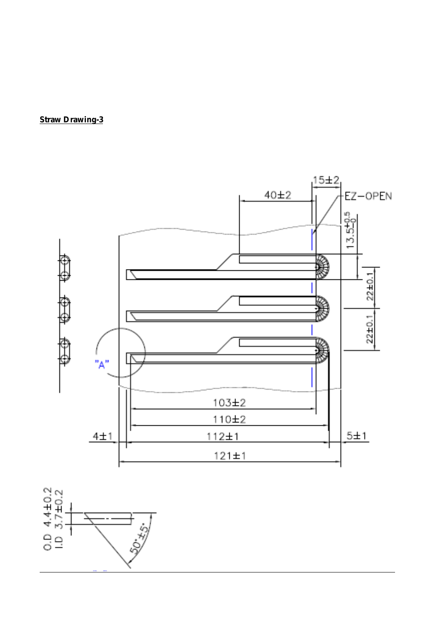# **Straw Drawing-3**